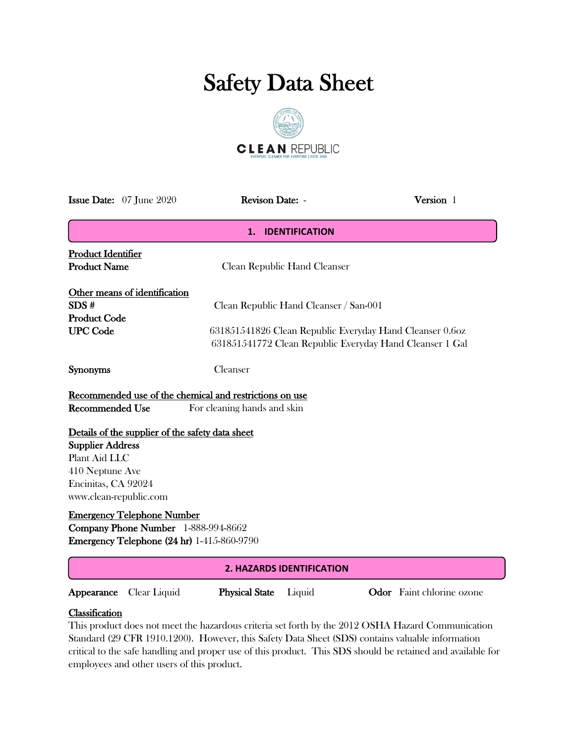# Safety Data Sheet



| <b>Issue Date:</b> 07 June 2020                                                                                                                                                                                                                                                                                                                                  |                                                                                                                                                                                                                        | Revison Date: -              | Version 1 |  |  |  |
|------------------------------------------------------------------------------------------------------------------------------------------------------------------------------------------------------------------------------------------------------------------------------------------------------------------------------------------------------------------|------------------------------------------------------------------------------------------------------------------------------------------------------------------------------------------------------------------------|------------------------------|-----------|--|--|--|
|                                                                                                                                                                                                                                                                                                                                                                  | <b>IDENTIFICATION</b><br>1.                                                                                                                                                                                            |                              |           |  |  |  |
| <b>Product Identifier</b><br><b>Product Name</b>                                                                                                                                                                                                                                                                                                                 |                                                                                                                                                                                                                        | Clean Republic Hand Cleanser |           |  |  |  |
| SDS#<br><b>UPC</b> Code                                                                                                                                                                                                                                                                                                                                          | Other means of identification<br>Clean Republic Hand Cleanser / San-001<br><b>Product Code</b><br>631851541826 Clean Republic Everyday Hand Cleanser 0.6oz<br>631851541772 Clean Republic Everyday Hand Cleanser 1 Gal |                              |           |  |  |  |
| <b>Synonyms</b>                                                                                                                                                                                                                                                                                                                                                  |                                                                                                                                                                                                                        | Cleanser                     |           |  |  |  |
| Recommended use of the chemical and restrictions on use<br><b>Recommended Use</b><br>For cleaning hands and skin<br>Details of the supplier of the safety data sheet<br><b>Supplier Address</b><br>Plant Aid LLC<br>410 Neptune Ave<br>Encinitas, CA 92024<br>www.clean-republic.com<br><b>Emergency Telephone Number</b><br>Company Phone Number 1-888-994-8662 |                                                                                                                                                                                                                        |                              |           |  |  |  |
| <b>Emergency Telephone (24 hr)</b> 1-415-860-9790                                                                                                                                                                                                                                                                                                                |                                                                                                                                                                                                                        |                              |           |  |  |  |
| <b>2. HAZARDS IDENTIFICATION</b>                                                                                                                                                                                                                                                                                                                                 |                                                                                                                                                                                                                        |                              |           |  |  |  |

Appearance Clear Liquid Physical State Liquid Odor Faint chlorine ozone

## **Classification**

This product does not meet the hazardous criteria set forth by the 2012 OSHA Hazard Communication Standard (29 CFR 1910.1200). However, this Safety Data Sheet (SDS) contains valuable information critical to the safe handling and proper use of this product. This SDS should be retained and available for employees and other users of this product.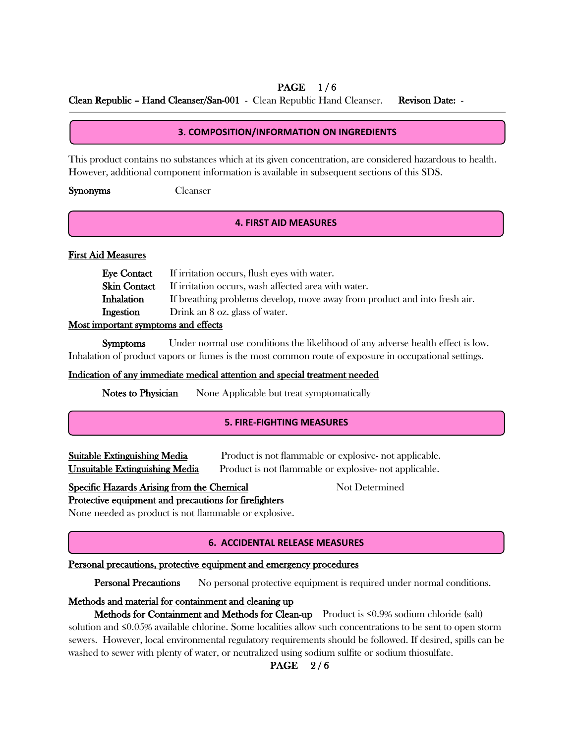## PAGE 1/6

Clean Republic – Hand Cleanser/San-001 - Clean Republic Hand Cleanser. Revison Date: -

### **3. COMPOSITION/INFORMATION ON INGREDIENTS**

This product contains no substances which at its given concentration, are considered hazardous to health. However, additional component information is available in subsequent sections of this SDS.

Synonyms Cleanser

#### **4. FIRST AID MEASURES**

#### First Aid Measures

j Í  $\overline{\mathcal{L}}$ 

í

|                   | <b>Eye Contact</b> If irritation occurs, flush eyes with water.           |
|-------------------|---------------------------------------------------------------------------|
|                   | <b>Skin Contact</b> If irritation occurs, wash affected area with water.  |
| <b>Inhalation</b> | If breathing problems develop, move away from product and into fresh air. |
| Ingestion         | Drink an 8 oz. glass of water.                                            |
| $\blacksquare$    |                                                                           |

## Most important symptoms and effects

 Symptoms Under normal use conditions the likelihood of any adverse health effect is low. Inhalation of product vapors or fumes is the most common route of exposure in occupational settings.

#### Indication of any immediate medical attention and special treatment needed

Notes to Physician None Applicable but treat symptomatically

#### **5. FIRE-FIGHTING MEASURES**

Suitable Extinguishing Media Product is not flammable or explosive- not applicable. Unsuitable Extinguishing Media Product is not flammable or explosive- not applicable.

## Specific Hazards Arising from the Chemical Not Determined

Protective equipment and precautions for firefighters

None needed as product is not flammable or explosive.

### **6. ACCIDENTAL RELEASE MEASURES**

#### Personal precautions, protective equipment and emergency procedures

Personal Precautions No personal protective equipment is required under normal conditions.

### Methods and material for containment and cleaning up

Methods for Containment and Methods for Clean-up Product is ≤0.9% sodium chloride (salt) solution and ≤0.05% available chlorine. Some localities allow such concentrations to be sent to open storm sewers. However, local environmental regulatory requirements should be followed. If desired, spills can be washed to sewer with plenty of water, or neutralized using sodium sulfite or sodium thiosulfate.

# **PAGE** 2/6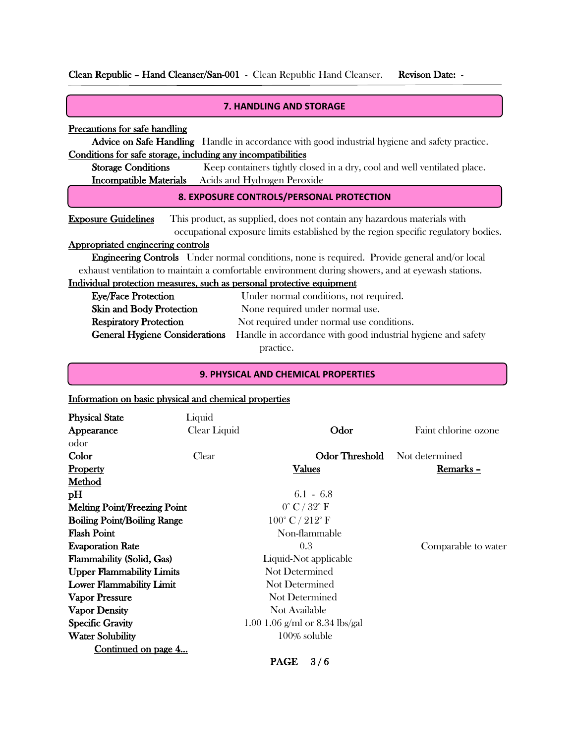Clean Republic – Hand Cleanser/San-001 - Clean Republic Hand Cleanser. Revison Date: -

| <b>7. HANDLING AND STORAGE</b>                                                                                                                                                               |                                                                                                       |  |  |  |  |
|----------------------------------------------------------------------------------------------------------------------------------------------------------------------------------------------|-------------------------------------------------------------------------------------------------------|--|--|--|--|
| Precautions for safe handling                                                                                                                                                                |                                                                                                       |  |  |  |  |
|                                                                                                                                                                                              | <b>Advice on Safe Handling</b> Handle in accordance with good industrial hygiene and safety practice. |  |  |  |  |
| Conditions for safe storage, including any incompatibilities                                                                                                                                 |                                                                                                       |  |  |  |  |
| <b>Storage Conditions</b>                                                                                                                                                                    | Keep containers tightly closed in a dry, cool and well ventilated place.                              |  |  |  |  |
|                                                                                                                                                                                              | Incompatible Materials Acids and Hydrogen Peroxide                                                    |  |  |  |  |
| 8. EXPOSURE CONTROLS/PERSONAL PROTECTION                                                                                                                                                     |                                                                                                       |  |  |  |  |
| <b>Exposure Guidelines</b><br>This product, as supplied, does not contain any hazardous materials with<br>occupational exposure limits established by the region specific regulatory bodies. |                                                                                                       |  |  |  |  |
| Appropriated engineering controls                                                                                                                                                            |                                                                                                       |  |  |  |  |
|                                                                                                                                                                                              | <b>Engineering Controls</b> Under normal conditions, none is required. Provide general and/or local   |  |  |  |  |
| exhaust ventilation to maintain a comfortable environment during showers, and at eyewash stations.                                                                                           |                                                                                                       |  |  |  |  |
| Individual protection measures, such as personal protective equipment                                                                                                                        |                                                                                                       |  |  |  |  |
| <b>Eye/Face Protection</b>                                                                                                                                                                   | Under normal conditions, not required.                                                                |  |  |  |  |
| <b>Skin and Body Protection</b>                                                                                                                                                              | None required under normal use.                                                                       |  |  |  |  |
| <b>Respiratory Protection</b><br>Not required under normal use conditions.                                                                                                                   |                                                                                                       |  |  |  |  |

General Hygiene Considerations Handle in accordance with good industrial hygiene and safety practice.

#### **9. PHYSICAL AND CHEMICAL PROPERTIES**

# Information on basic physical and chemical properties

١

| <b>Physical State</b>               | Liquid       |                                   |                      |  |
|-------------------------------------|--------------|-----------------------------------|----------------------|--|
| Appearance                          | Clear Liquid | Odor                              | Faint chlorine ozone |  |
| odor                                |              |                                   |                      |  |
| Color                               | Clear        | Odor Threshold                    | Not determined       |  |
| <b>Property</b>                     |              | Values                            | Remarks -            |  |
| Method                              |              |                                   |                      |  |
| pH                                  |              | $6.1 - 6.8$                       |                      |  |
| <b>Melting Point/Freezing Point</b> |              | $0^{\circ}$ C / $32^{\circ}$ F    |                      |  |
| <b>Boiling Point/Boiling Range</b>  |              | $100^{\circ}$ C / $212^{\circ}$ F |                      |  |
| <b>Flash Point</b>                  |              | Non-flammable                     |                      |  |
| <b>Evaporation Rate</b>             |              | 0.3                               | Comparable to water  |  |
| <b>Flammability (Solid, Gas)</b>    |              | Liquid-Not applicable             |                      |  |
| <b>Upper Flammability Limits</b>    |              | Not Determined                    |                      |  |
| <b>Lower Flammability Limit</b>     |              | Not Determined                    |                      |  |
| <b>Vapor Pressure</b>               |              | Not Determined                    |                      |  |
| <b>Vapor Density</b>                |              | Not Available                     |                      |  |
| <b>Specific Gravity</b>             |              | 1.00 1.06 g/ml or 8.34 lbs/gal    |                      |  |
| <b>Water Solubility</b>             |              | 100% soluble                      |                      |  |
| Continued on page 4                 |              |                                   |                      |  |
|                                     |              | 3/6<br><b>PAGE</b>                |                      |  |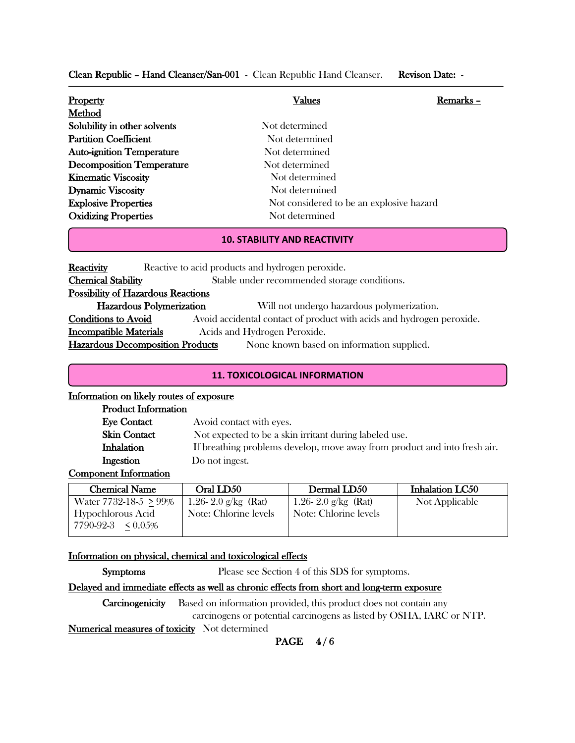Clean Republic – Hand Cleanser/San-001 - Clean Republic Hand Cleanser. Revison Date: -

| <b>Property</b>                  | Values                                   | Remarks - |
|----------------------------------|------------------------------------------|-----------|
| Method                           |                                          |           |
| Solubility in other solvents     | Not determined                           |           |
| <b>Partition Coefficient</b>     | Not determined                           |           |
| <b>Auto-ignition Temperature</b> | Not determined                           |           |
| <b>Decomposition Temperature</b> | Not determined                           |           |
| <b>Kinematic Viscosity</b>       | Not determined                           |           |
| <b>Dynamic Viscosity</b>         | Not determined                           |           |
| <b>Explosive Properties</b>      | Not considered to be an explosive hazard |           |
| <b>Oxidizing Properties</b>      | Not determined                           |           |

#### **10. STABILITY AND REACTIVITY**

| Reactive to acid products and hydrogen peroxide.                                                    |  |  |  |  |
|-----------------------------------------------------------------------------------------------------|--|--|--|--|
| Stable under recommended storage conditions.                                                        |  |  |  |  |
| <b>Possibility of Hazardous Reactions</b>                                                           |  |  |  |  |
| Hazardous Polymerization<br>Will not undergo hazardous polymerization.                              |  |  |  |  |
| <b>Conditions to Avoid</b><br>Avoid accidental contact of product with acids and hydrogen peroxide. |  |  |  |  |
| <b>Incompatible Materials</b><br>Acids and Hydrogen Peroxide.                                       |  |  |  |  |
| <b>Hazardous Decomposition Products</b><br>None known based on information supplied.                |  |  |  |  |
|                                                                                                     |  |  |  |  |

### **11. TOXICOLOGICAL INFORMATION**

#### Information on likely routes of exposure

| <b>Product Information</b> |                                                                           |
|----------------------------|---------------------------------------------------------------------------|
| Eve Contact                | Avoid contact with eyes.                                                  |
| Skin Contact               | Not expected to be a skin irritant during labeled use.                    |
| Inhalation                 | If breathing problems develop, move away from product and into fresh air. |
| Ingestion                  | Do not ingest.                                                            |
|                            |                                                                           |

#### Component Information

 $\overline{\phantom{a}}$ 

| <b>Chemical Name</b>    | Oral LD50             | Dermal LD50           | Inhalation LC50 |
|-------------------------|-----------------------|-----------------------|-----------------|
| Water 7732-18-5 > 99%   | 1.26-2.0 $g/kg$ (Rat) | 1.26-2.0 g/kg (Rat)   | Not Applicable  |
| Hypochlorous Acid       | Note: Chlorine levels | Note: Chlorine levels |                 |
| $7790-92-3 \leq 0.05\%$ |                       |                       |                 |

#### Information on physical, chemical and toxicological effects

Symptoms Please see Section 4 of this SDS for symptoms.

### Delayed and immediate effects as well as chronic effects from short and long-term exposure

Carcinogenicity Based on information provided, this product does not contain any carcinogens or potential carcinogens as listed by OSHA, IARC or NTP.

Numerical measures of toxicity Not determined

PAGE 4/6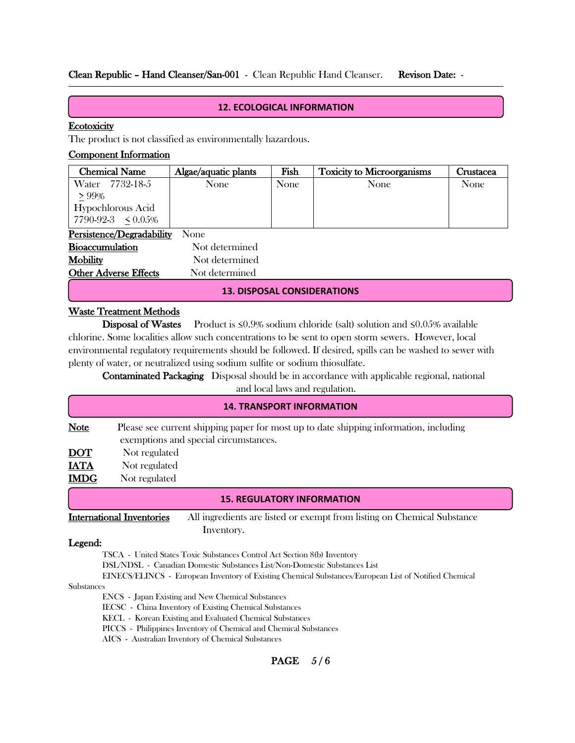## Clean Republic – Hand Cleanser/San-001 - Clean Republic Hand Cleanser. Revison Date: -

#### **12. ECOLOGICAL INFORMATION**

#### **Ecotoxicity**

 $\overline{a}$ ſ l

ĺ  $\overline{\phantom{0}}$ 

The product is not classified as environmentally hazardous.

#### Component Information

| <b>Chemical Name</b>      | Algae/aquatic plants | Fish | <b>Toxicity to Microorganisms</b> | Crustacea |
|---------------------------|----------------------|------|-----------------------------------|-----------|
| 7732-18-5<br>Water        | None                 | None | None                              | None      |
| $> 99\%$                  |                      |      |                                   |           |
| Hypochlorous Acid         |                      |      |                                   |           |
| $7790-92-3 \leq 0.05\%$   |                      |      |                                   |           |
| Persistence/Degradability | None                 |      |                                   |           |

| <b>Bioaccumulation</b>       | Not determined |
|------------------------------|----------------|
| <b>Mobility</b>              | Not determined |
| <b>Other Adverse Effects</b> | Not determined |

#### **13. DISPOSAL CONSIDERATIONS**

## Waste Treatment Methods

Disposal of Wastes Product is ≤0.9% sodium chloride (salt) solution and ≤0.05% available chlorine. Some localities allow such concentrations to be sent to open storm sewers. However, local environmental regulatory requirements should be followed. If desired, spills can be washed to sewer with plenty of water, or neutralized using sodium sulfite or sodium thiosulfate.

 Contaminated Packaging Disposal should be in accordance with applicable regional, national and local laws and regulation.

| <b>14. TRANSPORT INFORMATION</b> |                                                                                                                                |  |  |
|----------------------------------|--------------------------------------------------------------------------------------------------------------------------------|--|--|
| <b>Note</b>                      | Please see current shipping paper for most up to date shipping information, including<br>exemptions and special circumstances. |  |  |
| <u>DOT</u>                       | Not regulated                                                                                                                  |  |  |
| <b>IATA</b>                      | Not regulated                                                                                                                  |  |  |
| <b>IMDG</b>                      | Not regulated                                                                                                                  |  |  |
|                                  | <b>15 REGULATORY INFORMATION</b>                                                                                               |  |  |

#### **15. REGULATORY INFORMATION**

International Inventories All ingredients are listed or exempt from listing on Chemical Substance Inventory.

#### Legend:

TSCA - United States Toxic Substances Control Act Section 8(b) Inventory

DSL/NDSL - Canadian Domestic Substances List/Non-Domestic Substances List

EINECS/ELINCS - European Inventory of Existing Chemical Substances/European List of Notified Chemical

#### Substances

ENCS - Japan Existing and New Chemical Substances

IECSC - China Inventory of Existing Chemical Substances

KECL - Korean Existing and Evaluated Chemical Substances

PICCS - Philippines Inventory of Chemical and Chemical Substances

AICS - Australian Inventory of Chemical Substances

### **PAGE** 5/6